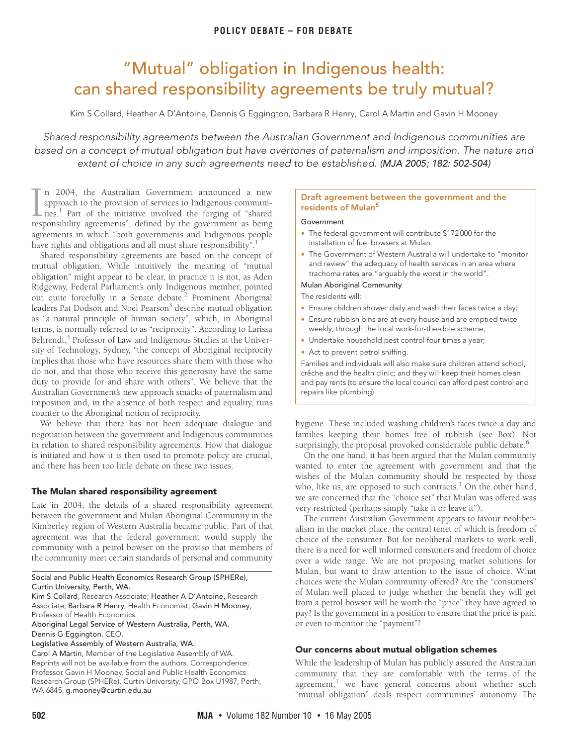# <span id="page-0-0"></span>"Mutual" obligation in Indigenous health: can shared responsibility agreements be truly mutual?

Kim S Collard, Heather A D'Antoine, Dennis G Eggington, Barbara R Henry, Carol A Martin and Gavin H Mooney

Shared responsibility agreements between the Australian Government and Indigenous communities are based on a concept of mutual obligation but have overtones of paternalism and imposition. The nature and extent of choice in any such agreements need to be established. (MJA 2005; 182: [502](#page-0-0)[-504](#page-2-3))

agreements in which both governments and murgenous per have rights and obligations and [all](#page-0-0) [must](#page-2-3) share responsibility".<sup>[1](#page-1-0)</sup>  $\frac{1}{2}$  16 and Obligations and an index n 2004, the Australian Government announced a new approach to the provision of services to Indigenous communi-ties.<sup>[1](#page-1-0)</sup> Part of the initiative involved the forging of "shared In 2004, the Australian Government announced a new approach to the provision of services to Indigenous communities.<sup>1</sup> Part of the initiative involved the forging of "shared responsibility agreements", defined by the gover agreements in which "both governments and Indigenous people

Shared responsibility agreements are based on the concept of mutual obligation. While intuitively the meaning of "mutual obligation" might appear to be clear, in practice it is not, as Aden Ridgeway, Federal Parliament's only Indigenous member, pointed out quite forcefully in a Senate debate.<sup>[2](#page-1-1)</sup> Prominent Aboriginal leaders Pat Dodson and Noel Pearson<sup>[3](#page-1-2)</sup> describe mutual obligation as "a natural principle of human society", which, in Aboriginal terms, is normally referred to as "reciprocity". According to Larissa Behrendt,<sup>4</sup> Professor of Law and Indigenous Studies at the University of Technology, Sydney, "the concept of Aboriginal reciprocity implies that those who have resources share them with those who do not, and that those who receive this generosity have the same duty to provide for and share with others". We believe that the Australian Government's new approach smacks of paternalism and imposition and, in the absence of both respect and equality, runs counter to the Aboriginal notion of reciprocity.

We believe that there has not been adequate dialogue and negotiation between the government and Indigenous communities in relation to shared responsibility agreements. How that dialogue is initiated and how it is then used to promote policy are crucial, and there has been too little debate on these two issues.

### **The Mulan shared responsibility agreement**

Late in 2004, the details of a shared responsibility agreement between the government and Mulan Aboriginal Community in the Kimberley region of Western Australia became public. Part of that agreement was that the federal government would supply the community with a petrol bowser on the proviso that members of the community meet certain standards of personal and community

Social and Public Health Economics Research Group (SPHERe), Curtin University, Perth, WA.

Kim S Collard, Research Associate; Heather A D'Antoine, Research Associate; Barbara R Henry, Health Economist; Gavin H Mooney, Professor of Health Economics.

Aboriginal Legal Service of Western Australia, Perth, WA. Dennis G Eggington, CEO.

Legislative Assembly of Western Australia, WA.

Carol A Martin, Member of the Legislative Assembly of WA. Reprints will not be available from the authors. Correspondence: Professor Gavin H Mooney, Social and Public Health Economics Research Group (SPHERe), Curtin University, GPO Box U1987, Perth, WA 6845. g.mooney@curtin.edu.au

## **Draft agreement between the government and the residents of Mulan[5](#page-2-0)**

#### Government

- **•** The federal government will contribute \$172 000 for the installation of fuel bowsers at Mulan.
- **•** The Government of Western Australia will undertake to "monitor and review" the adequacy of health services in an area where trachoma rates are "arguably the worst in the world".

#### Mulan Aboriginal Community

The residents will:

- **•** Ensure children shower daily and wash their faces twice a day;
- **•** Ensure rubbish bins are at every house and are emptied twice weekly, through the local work-for-the-dole scheme;
- **•** Undertake household pest control four times a year;
- **•** Act to prevent petrol sniffing.

Families and individuals will also make sure children attend school, crêche and the health clinic; and they will keep their homes clean and pay rents (to ensure the local council can afford pest control and repairs like plumbing).

hygiene. These included washing children's faces twice a day and families keeping their homes free of rubbish (see Box). Not surprisingly, the proposal provoked considerable public debate.<sup>[6](#page-2-1)</sup>

On the one hand, it has been argued that the Mulan community wanted to enter the agreement with government and that the wishes of the Mulan community should be respected by those who, like us, are opposed to such contracts.<sup>[3](#page-1-2)</sup> On the other hand, we are concerned that the "choice set" that Mulan was offered was very restricted (perhaps simply "take it or leave it").

The current Australian Government appears to favour neoliberalism in the market place, the central tenet of which is freedom of choice of the consumer. But for neoliberal markets to work well, there is a need for well informed consumers and freedom of choice over a wide range. We are not proposing market solutions for Mulan, but want to draw attention to the issue of choice. What choices were the Mulan community offered? Are the "consumers" of Mulan well placed to judge whether the benefit they will get from a petrol bowser will be worth the "price" they have agreed to pay? Is the government in a position to ensure that the price is paid or even to monitor the "payment"?

# **Our concerns about mutual obligation schemes**

While the leadership of Mulan has publicly assured the Australian community that they are comfortable with the terms of the agreement,<sup>7</sup> we have general concerns about whether such "mutual obligation" deals respect communities' autonomy. The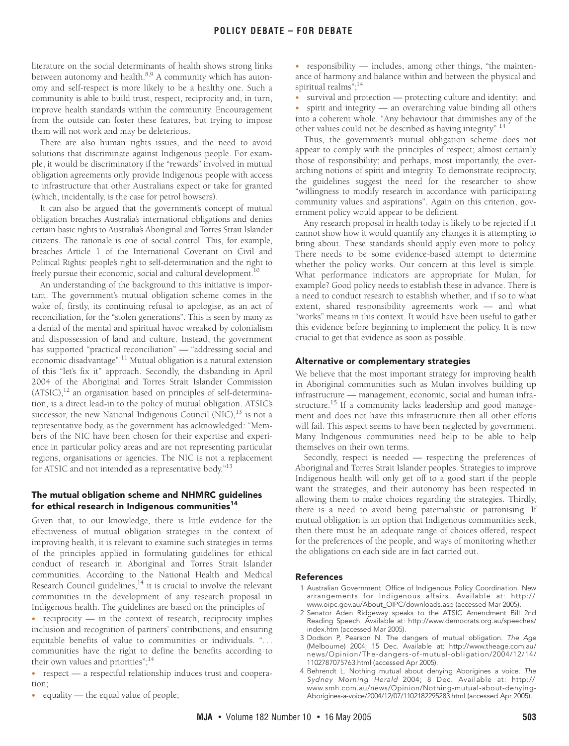literature on the social determinants of health shows strong links between autonomy and health. $8,9$  $8,9$  A community which has autonomy and self-respect is more likely to be a healthy one. Such a community is able to build trust, respect, reciprocity and, in turn, improve health standards within the community. Encouragement from the outside can foster these features, but trying to impose them will not work and may be deleterious.

There are also human rights issues, and the need to avoid solutions that discriminate against Indigenous people. For example, it would be discriminatory if the "rewards" involved in mutual obligation agreements only provide Indigenous people with access to infrastructure that other Australians expect or take for granted (which, incidentally, is the case for petrol bowsers).

It can also be argued that the government's concept of mutual obligation breaches Australia's international obligations and denies certain basic rights to Australia's Aboriginal and Torres Strait Islander citizens. The rationale is one of social control. This, for example, breaches Article 1 of the International Covenant on Civil and Political Rights: people's right to self-determination and the right to freely pursue their economic, social and cultural development.<sup>10</sup>

An understanding of the background to this initiative is important. The government's mutual obligation scheme comes in the wake of, firstly, its continuing refusal to apologise, as an act of reconciliation, for the "stolen generations". This is seen by many as a denial of the mental and spiritual havoc wreaked by colonialism and dispossession of land and culture. Instead, the government has supported "practical reconciliation" — "addressing social and economic disadvantage".[11](#page-2-7) Mutual obligation is a natural extension of this "let's fix it" approach. Secondly, the disbanding in April 2004 of the Aboriginal and Torres Strait Islander Commission  $(ATSIC),<sup>12</sup>$  an organisation based on principles of self-determination, is a direct lead-in to the policy of mutual obligation. ATSIC's successor, the new National Indigenous Council  $(NIC)^{13}$  is not a representative body, as the government has acknowledged: "Members of the NIC have been chosen for their expertise and experience in particular policy areas and are not representing particular regions, organisations or agencies. The NIC is not a replacement for ATSIC and not intended as a representative body.["13](#page-2-9)

# **The mutual obligation scheme and NHMRC guidelines for ethical research in Indigenous communities[14](#page-2-10)**

Given that, to our knowledge, there is little evidence for the effectiveness of mutual obligation strategies in the context of improving health, it is relevant to examine such strategies in terms of the principles applied in formulating guidelines for ethical conduct of research in Aboriginal and Torres Strait Islander communities. According to the National Health and Medical Research Council guidelines, $14$  it is crucial to involve the relevant communities in the development of any research proposal in Indigenous health. The guidelines are based on the principles of

• reciprocity — in the context of research, reciprocity implies inclusion and recognition of partners' contributions, and ensuring equitable benefits of value to communities or individuals. ". . . communities have the right to define the benefits according to their own values and priorities";<sup>[14](#page-2-10)</sup>

**•** respect — a respectful relationship induces trust and cooperation;

**•** equality — the equal value of people;

**•** responsibility — includes, among other things, "the maintenance of harmony and balance within and between the physical and spiritual realms"[;14](#page-2-10)

**•** survival and protection — protecting culture and identity; and **•** spirit and integrity — an overarching value binding all others into a coherent whole. "Any behaviour that diminishes any of the other values could not be described as having integrity".<sup>[14](#page-2-10)</sup>

Thus, the government's mutual obligation scheme does not appear to comply with the principles of respect; almost certainly those of responsibility; and perhaps, most importantly, the overarching notions of spirit and integrity. To demonstrate reciprocity, the guidelines suggest the need for the researcher to show "willingness to modify research in accordance with participating community values and aspirations". Again on this criterion, government policy would appear to be deficient.

Any research proposal in health today is likely to be rejected if it cannot show how it would quantify any changes it is attempting to bring about. These standards should apply even more to policy. There needs to be some evidence-based attempt to determine whether the policy works. Our concern at this level is simple. What performance indicators are appropriate for Mulan, for example? Good policy needs to establish these in advance. There is a need to conduct research to establish whether, and if so to what extent, shared responsibility agreements work — and what "works" means in this context. It would have been useful to gather this evidence before beginning to implement the policy. It is now crucial to get that evidence as soon as possible.

#### **Alternative or complementary strategies**

We believe that the most important strategy for improving health in Aboriginal communities such as Mulan involves building up infrastructure — management, economic, social and human infra-structure.<sup>[15](#page-2-3)</sup> If a community lacks leadership and good management and does not have this infrastructure then all other efforts will fail. This aspect seems to have been neglected by government. Many Indigenous communities need help to be able to help themselves on their own terms.

Secondly, respect is needed — respecting the preferences of Aboriginal and Torres Strait Islander peoples. Strategies to improve Indigenous health will only get off to a good start if the people want the strategies, and their autonomy has been respected in allowing them to make choices regarding the strategies. Thirdly, there is a need to avoid being paternalistic or patronising. If mutual obligation is an option that Indigenous communities seek, then there must be an adequate range of choices offered, respect for the preferences of the people, and ways of monitoring whether the obligations on each side are in fact carried out.

#### **References**

- <span id="page-1-0"></span>[1 Australian Government. Office of Indigenous Policy Coordination. New](http://www.oipc.gov.au/About_OIPC/downloads.asp) arrangements for Indigenous affairs. Available at: http:// www.oipc.gov.au/About\_OIPC/downloads.asp (accessed Mar 2005).
- <span id="page-1-1"></span>[2 Senator Aden Ridgeway speaks to the ATSIC Amendment Bill 2nd](http://www.democrats.org.au/speeches/index.htm) Reading Speech. Available at: http://www.democrats.org.au/speeches/ index.htm (accessed Mar 2005).
- <span id="page-1-2"></span>3 Dodson P, Pearson N. The dangers of mutual obligation. The Age (Melbourne) 2004; 15 Dec. Available at: http://www.theage.com.au/ news/Opinion/The-dangers-of-mutual-obligation/2004/12/14/ 1102787075763.html (accessed Apr 2005).
- <span id="page-1-3"></span>4 Behrendt L. Nothing mutual about denying Aborigines a voice. The Sydney Morning Herald 2004; 8 Dec. Available at: http:// www.smh.com.au/news/Opinion/Nothing-mutual-about-denying-Aborigines-a-voice/2004/12/07/1102182295283.html (accessed Apr 2005).